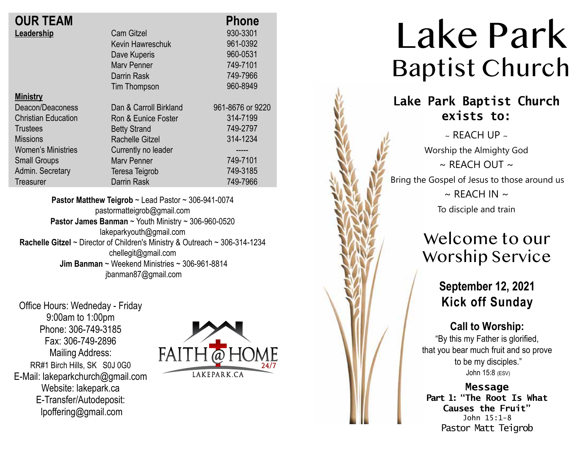| <b>OUR TEAM</b>            |                        | <b>Phone</b>     |
|----------------------------|------------------------|------------------|
| Leadership                 | <b>Cam Gitzel</b>      | 930-3301         |
|                            | Kevin Hawreschuk       | 961-0392         |
|                            | Dave Kuperis           | 960-0531         |
|                            | <b>Mary Penner</b>     | 749-7101         |
|                            | Darrin Rask            | 749-7966         |
|                            | Tim Thompson           | 960-8949         |
| <b>Ministry</b>            |                        |                  |
| Deacon/Deaconess           | Dan & Carroll Birkland | 961-8676 or 9220 |
| <b>Christian Education</b> | Ron & Eunice Foster    | 314-7199         |
| Trustees                   | <b>Betty Strand</b>    | 749-2797         |
| <b>Missions</b>            | <b>Rachelle Gitzel</b> | 314-1234         |
| <b>Women's Ministries</b>  | Currently no leader    | -----            |
| <b>Small Groups</b>        | <b>Mary Penner</b>     | 749-7101         |
| Admin. Secretary           | Teresa Teigrob         | 749-3185         |
| Treasurer                  | <b>Darrin Rask</b>     | 749-7966         |
|                            |                        |                  |

**Pastor Matthew Teigrob** ~ Lead Pastor ~ 306-941-0074 pastormatteigrob@gmail.com **Pastor James Banman** ~ Youth Ministry ~ 306-960-0520 lakeparkyouth@gmail.com **Rachelle Gitzel** ~ Director of Children's Ministry & Outreach ~ 306-314-1234 chellegit@gmail.com  **Jim Banman** ~ Weekend Ministries ~ 306-961-8814 jbanman87@gmail.com

Office Hours: Wedneday - Friday 9:00am to 1:00pm Phone: 306-749-3185 Fax: 306-749-2896 Mailing Address: RR#1 Birch Hills, SK S0J 0G0 E-Mail: lakeparkchurch@gmail.com Website: lakepark.ca E-Transfer/Autodeposit: lpoffering@gmail.com



# Lake Park Baptist Church

### **Lake Park Baptist Church exists to:**

 $\sim$  REACH UP  $\sim$ Worship the Almighty God  $\sim$  RFACH OUT  $\sim$ Bring the Gospel of Jesus to those around us  $\sim$  REACH IN  $\sim$ To disciple and train

### Welcome to our Worship Service

**September 12, 2021 Kick off Sunday**

#### **Call to Worship:**

"By this my Father is glorified, that you bear much fruit and so prove to be my disciples." John 15:8 (ESV)

**Message Part 1: "The Root Is What Causes the Fruit"**  John 15:1-8 Pastor Matt Teigrob